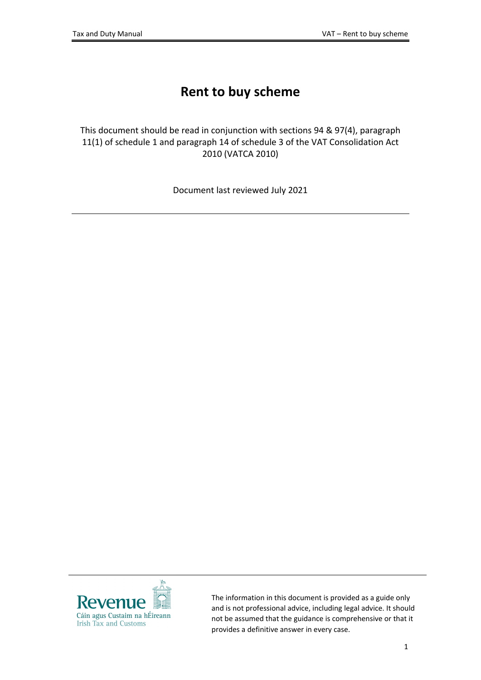# **Rent to buy scheme**

This document should be read in conjunction with sections 94 & 97(4), paragraph 11(1) of schedule 1 and paragraph 14 of schedule 3 of the VAT Consolidation Act 2010 (VATCA 2010)

Document last reviewed July 2021



The information in this document is provided as a guide only and is not professional advice, including legal advice. It should not be assumed that the guidance is comprehensive or that it provides a definitive answer in every case.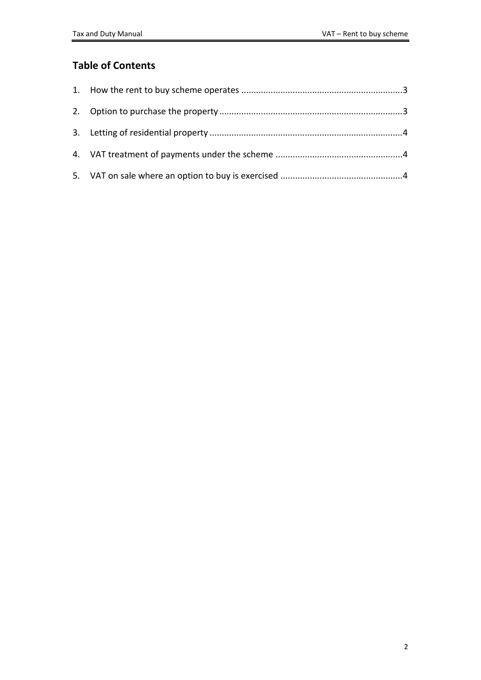# **Table of Contents**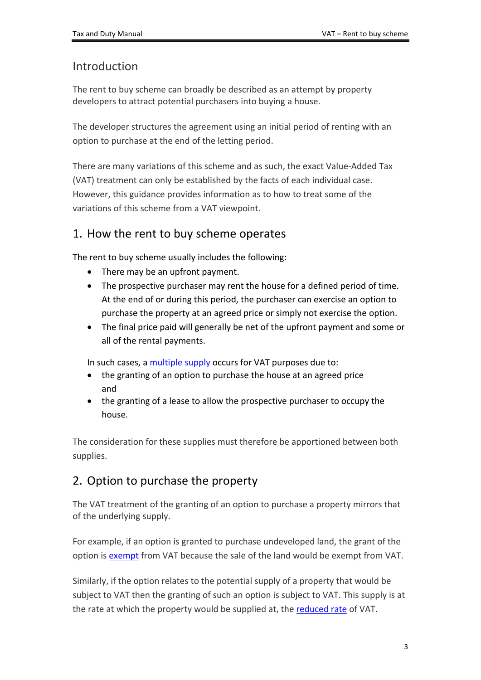# Introduction

The rent to buy scheme can broadly be described as an attempt by property developers to attract potential purchasers into buying a house.

The developer structures the agreement using an initial period of renting with an option to purchase at the end of the letting period.

There are many variations of this scheme and as such, the exact Value-Added Tax (VAT) treatment can only be established by the facts of each individual case. However, this guidance provides information as to how to treat some of the variations of this scheme from a VAT viewpoint.

# <span id="page-2-0"></span>1. How the rent to buy scheme operates

The rent to buy scheme usually includes the following:

- There may be an upfront payment.
- The prospective purchaser may rent the house for a defined period of time. At the end of or during this period, the purchaser can exercise an option to purchase the property at an agreed price or simply not exercise the option.
- The final price paid will generally be net of the upfront payment and some or all of the rental payments.

In such cases, a [multiple](https://www.revenue.ie/en/vat/charging-vat/vat-and-mixed-supplies-of-goods/index.aspx) [supply](https://www.revenue.ie/en/vat/charging-vat/vat-and-mixed-supplies-of-goods/index.aspx) occurs for VAT purposes due to:

- the granting of an option to purchase the house at an agreed price and
- the granting of a lease to allow the prospective purchaser to occupy the house.

The consideration for these supplies must therefore be apportioned between both supplies.

# <span id="page-2-1"></span>2. Option to purchase the property

The VAT treatment of the granting of an option to purchase a property mirrors that of the underlying supply.

For example, if an option is granted to purchase undeveloped land, the grant of the option is [exempt](https://www.revenue.ie/en/tax-professionals/tdm/value-added-tax/part11-immovable-goods/supply-of-property/supply-of-property.pdf) from VAT because the sale of the land would be exempt from VAT.

Similarly, if the option relates to the potential supply of a property that would be subject to VAT then the granting of such an option is subject to VAT. This supply is at the rate at which the property would be supplied at, the [reduced](https://www.revenue.ie/en/vat/vat-rates/search-vat-rates/current-vat-rates.aspx) [rate](https://www.revenue.ie/en/vat/vat-rates/search-vat-rates/current-vat-rates.aspx) of VAT.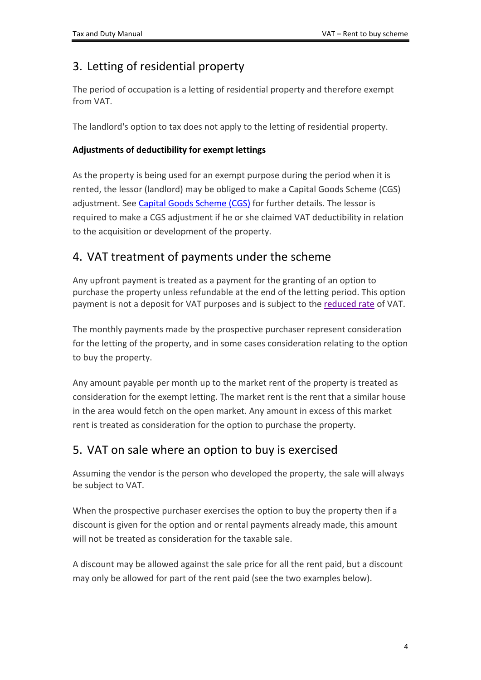# <span id="page-3-0"></span>3. Letting of residential property

The period of occupation is a letting of residential property and therefore exempt from VAT.

The landlord's option to tax does not apply to the letting of residential property.

## **Adjustments of deductibility for exempt lettings**

As the property is being used for an exempt purpose during the period when it is rented, the lessor (landlord) may be obliged to make a Capital Goods Scheme (CGS) adjustment. See [Capital](https://www.revenue.ie/en/vat/vat-on-property-and-construction/capital-goods-scheme/index.aspx) [Goods](https://www.revenue.ie/en/vat/vat-on-property-and-construction/capital-goods-scheme/index.aspx) [Scheme](https://www.revenue.ie/en/vat/vat-on-property-and-construction/capital-goods-scheme/index.aspx) [\(CGS\)](https://www.revenue.ie/en/vat/vat-on-property-and-construction/capital-goods-scheme/index.aspx) for further details. The lessor is required to make a CGS adjustment if he or she claimed VAT deductibility in relation to the acquisition or development of the property.

# <span id="page-3-1"></span>4. VAT treatment of payments under the scheme

Any upfront payment is treated as a payment for the granting of an option to purchase the property unless refundable at the end of the letting period. This option payment is not a deposit for VAT purposes and is subject to the [reduced](https://www.revenue.ie/en/vat/vat-rates/search-vat-rates/current-vat-rates.aspx) [rate](https://www.revenue.ie/en/vat/vat-rates/search-vat-rates/current-vat-rates.aspx) of VAT.

The monthly payments made by the prospective purchaser represent consideration for the letting of the property, and in some cases consideration relating to the option to buy the property.

Any amount payable per month up to the market rent of the property is treated as consideration for the exempt letting. The market rent is the rent that a similar house in the area would fetch on the open market. Any amount in excess of this market rent is treated as consideration for the option to purchase the property.

# <span id="page-3-2"></span>5. VAT on sale where an option to buy is exercised

Assuming the vendor is the person who developed the property, the sale will always be subject to VAT.

When the prospective purchaser exercises the option to buy the property then if a discount is given for the option and or rental payments already made, this amount will not be treated as consideration for the taxable sale.

A discount may be allowed against the sale price for all the rent paid, but a discount may only be allowed for part of the rent paid (see the two examples below).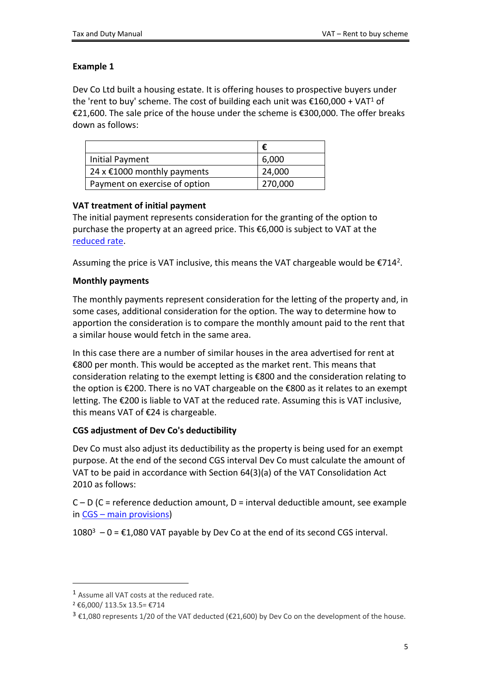## **Example 1**

Dev Co Ltd built a housing estate. It is offering houses to prospective buyers under the 'rent to buy' scheme. The cost of building each unit was  $\epsilon$ 160,000 + VAT<sup>1</sup> of €21,600. The sale price of the house under the scheme is €300,000. The offer breaks down as follows:

|                               | €       |
|-------------------------------|---------|
| <b>Initial Payment</b>        | 6,000   |
| 24 x €1000 monthly payments   | 24,000  |
| Payment on exercise of option | 270,000 |

## **VAT treatment of initial payment**

The initial payment represents consideration for the granting of the option to purchase the property at an agreed price. This €6,000 is subject to VAT at the [reduced](https://www.revenue.ie/en/vat/vat-rates/search-vat-rates/current-vat-rates.aspx) [rate.](https://www.revenue.ie/en/vat/vat-rates/search-vat-rates/current-vat-rates.aspx)

Assuming the price is VAT inclusive, this means the VAT chargeable would be  $E714^2$ .

## **Monthly payments**

The monthly payments represent consideration for the letting of the property and, in some cases, additional consideration for the option. The way to determine how to apportion the consideration is to compare the monthly amount paid to the rent that a similar house would fetch in the same area.

In this case there are a number of similar houses in the area advertised for rent at €800 per month. This would be accepted as the market rent. This means that consideration relating to the exempt letting is €800 and the consideration relating to the option is €200. There is no VAT chargeable on the €800 as it relates to an exempt letting. The €200 is liable to VAT at the reduced rate. Assuming this is VAT inclusive, this means VAT of €24 is chargeable.

# **CGS adjustment of Dev Co's deductibility**

Dev Co must also adjust its deductibility as the property is being used for an exempt purpose. At the end of the second CGS interval Dev Co must calculate the amount of VAT to be paid in accordance with Section 64(3)(a) of the VAT Consolidation Act 2010 as follows:

 $C - D$  (C = reference deduction amount, D = interval deductible amount, see example in [CGS](https://www.revenue.ie/en/vat/vat-on-property-and-construction/capital-goods-scheme/index.aspx) [–](https://www.revenue.ie/en/vat/vat-on-property-and-construction/capital-goods-scheme/index.aspx) [main](https://www.revenue.ie/en/vat/vat-on-property-and-construction/capital-goods-scheme/index.aspx) [provisions\)](https://www.revenue.ie/en/vat/vat-on-property-and-construction/capital-goods-scheme/index.aspx)

 $1080^3$  – 0 =  $\epsilon$ 1,080 VAT payable by Dev Co at the end of its second CGS interval.

<sup>1</sup> Assume all VAT costs at the reduced rate.

<sup>2</sup> €6,000/ 113.5x 13.5= €714

 $3 \text{ } \text{\&} 1,080$  represents 1/20 of the VAT deducted ( $\text{\&} 21,600$ ) by Dev Co on the development of the house.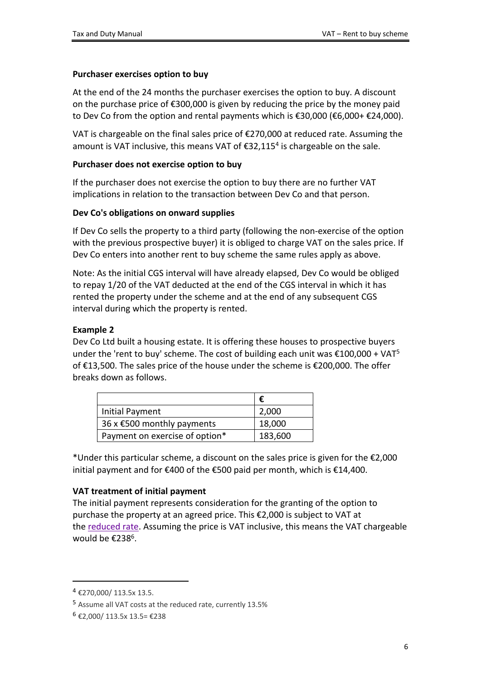#### **Purchaser exercises option to buy**

At the end of the 24 months the purchaser exercises the option to buy. A discount on the purchase price of  $\epsilon$ 300,000 is given by reducing the price by the money paid to Dev Co from the option and rental payments which is €30,000 (€6,000+ €24,000).

VAT is chargeable on the final sales price of €270,000 at reduced rate. Assuming the amount is VAT inclusive, this means VAT of €32,115<sup>4</sup> is chargeable on the sale.

#### **Purchaser does not exercise option to buy**

If the purchaser does not exercise the option to buy there are no further VAT implications in relation to the transaction between Dev Co and that person.

#### **Dev Co's obligations on onward supplies**

If Dev Co sells the property to a third party (following the non-exercise of the option with the previous prospective buyer) it is obliged to charge VAT on the sales price. If Dev Co enters into another rent to buy scheme the same rules apply as above.

Note: As the initial CGS interval will have already elapsed, Dev Co would be obliged to repay 1/20 of the VAT deducted at the end of the CGS interval in which it has rented the property under the scheme and at the end of any subsequent CGS interval during which the property is rented.

## **Example 2**

Dev Co Ltd built a housing estate. It is offering these houses to prospective buyers under the 'rent to buy' scheme. The cost of building each unit was €100,000 + VAT<sup>5</sup> of €13,500. The sales price of the house under the scheme is €200,000. The offer breaks down as follows.

|                                      | €       |
|--------------------------------------|---------|
| Initial Payment                      | 2,000   |
| 36 x $\epsilon$ 500 monthly payments | 18,000  |
| Payment on exercise of option*       | 183,600 |

\*Under this particular scheme, a discount on the sales price is given for the €2,000 initial payment and for €400 of the €500 paid per month, which is €14,400.

# **VAT treatment of initial payment**

The initial payment represents consideration for the granting of the option to purchase the property at an agreed price. This €2,000 is subject to VAT at the [reduced](https://www.revenue.ie/en/vat/vat-rates/search-vat-rates/current-vat-rates.aspx) [rate.](https://www.revenue.ie/en/vat/vat-rates/search-vat-rates/current-vat-rates.aspx) Assuming the price is VAT inclusive, this means the VAT chargeable would be €238<sup>6</sup>.

 $4$  €270,000/ 113.5x 13.5.

<sup>5</sup> Assume all VAT costs at the reduced rate, currently 13.5%

<sup>6</sup> €2,000/ 113.5x 13.5= €238